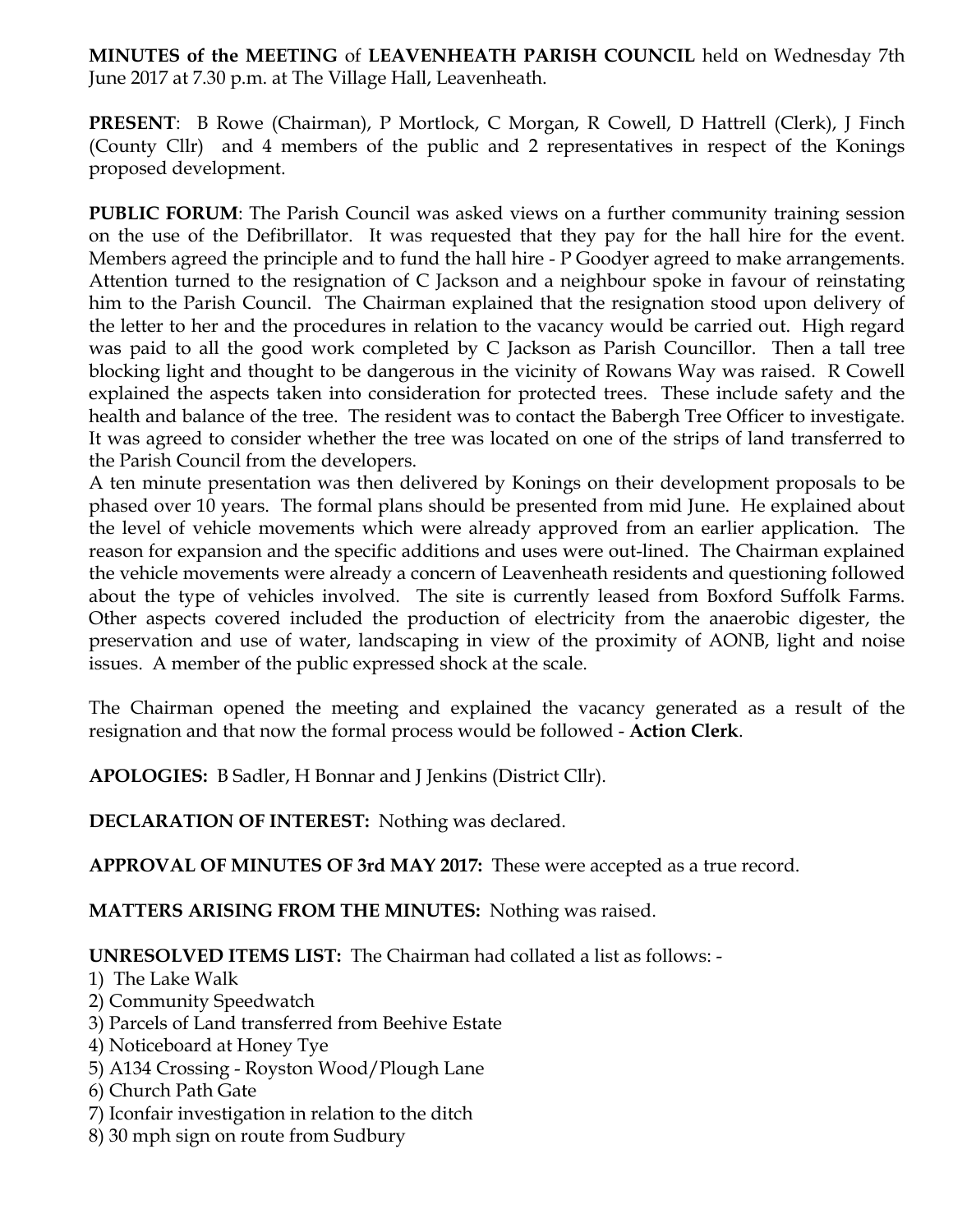**MINUTES of the MEETING** of **LEAVENHEATH PARISH COUNCIL** held on Wednesday 7th June 2017 at 7.30 p.m. at The Village Hall, Leavenheath.

**PRESENT**: B Rowe (Chairman), P Mortlock, C Morgan, R Cowell, D Hattrell (Clerk), J Finch (County Cllr) and 4 members of the public and 2 representatives in respect of the Konings proposed development.

**PUBLIC FORUM:** The Parish Council was asked views on a further community training session on the use of the Defibrillator. It was requested that they pay for the hall hire for the event. Members agreed the principle and to fund the hall hire - P Goodyer agreed to make arrangements. Attention turned to the resignation of C Jackson and a neighbour spoke in favour of reinstating him to the Parish Council. The Chairman explained that the resignation stood upon delivery of the letter to her and the procedures in relation to the vacancy would be carried out. High regard was paid to all the good work completed by C Jackson as Parish Councillor. Then a tall tree blocking light and thought to be dangerous in the vicinity of Rowans Way was raised. R Cowell explained the aspects taken into consideration for protected trees. These include safety and the health and balance of the tree. The resident was to contact the Babergh Tree Officer to investigate. It was agreed to consider whether the tree was located on one of the strips of land transferred to the Parish Council from the developers.

A ten minute presentation was then delivered by Konings on their development proposals to be phased over 10 years. The formal plans should be presented from mid June. He explained about the level of vehicle movements which were already approved from an earlier application. The reason for expansion and the specific additions and uses were out-lined. The Chairman explained the vehicle movements were already a concern of Leavenheath residents and questioning followed about the type of vehicles involved. The site is currently leased from Boxford Suffolk Farms. Other aspects covered included the production of electricity from the anaerobic digester, the preservation and use of water, landscaping in view of the proximity of AONB, light and noise issues. A member of the public expressed shock at the scale.

The Chairman opened the meeting and explained the vacancy generated as a result of the resignation and that now the formal process would be followed - **Action Clerk**.

**APOLOGIES:** B Sadler, H Bonnar and J Jenkins (District Cllr).

**DECLARATION OF INTEREST:** Nothing was declared.

**APPROVAL OF MINUTES OF 3rd MAY 2017:** These were accepted as a true record.

**MATTERS ARISING FROM THE MINUTES:** Nothing was raised.

**UNRESOLVED ITEMS LIST:** The Chairman had collated a list as follows: -

- 1) The Lake Walk
- 2) Community Speedwatch
- 3) Parcels of Land transferred from Beehive Estate
- 4) Noticeboard at Honey Tye
- 5) A134 Crossing Royston Wood/Plough Lane
- 6) Church Path Gate
- 7) Iconfair investigation in relation to the ditch
- 8) 30 mph sign on route from Sudbury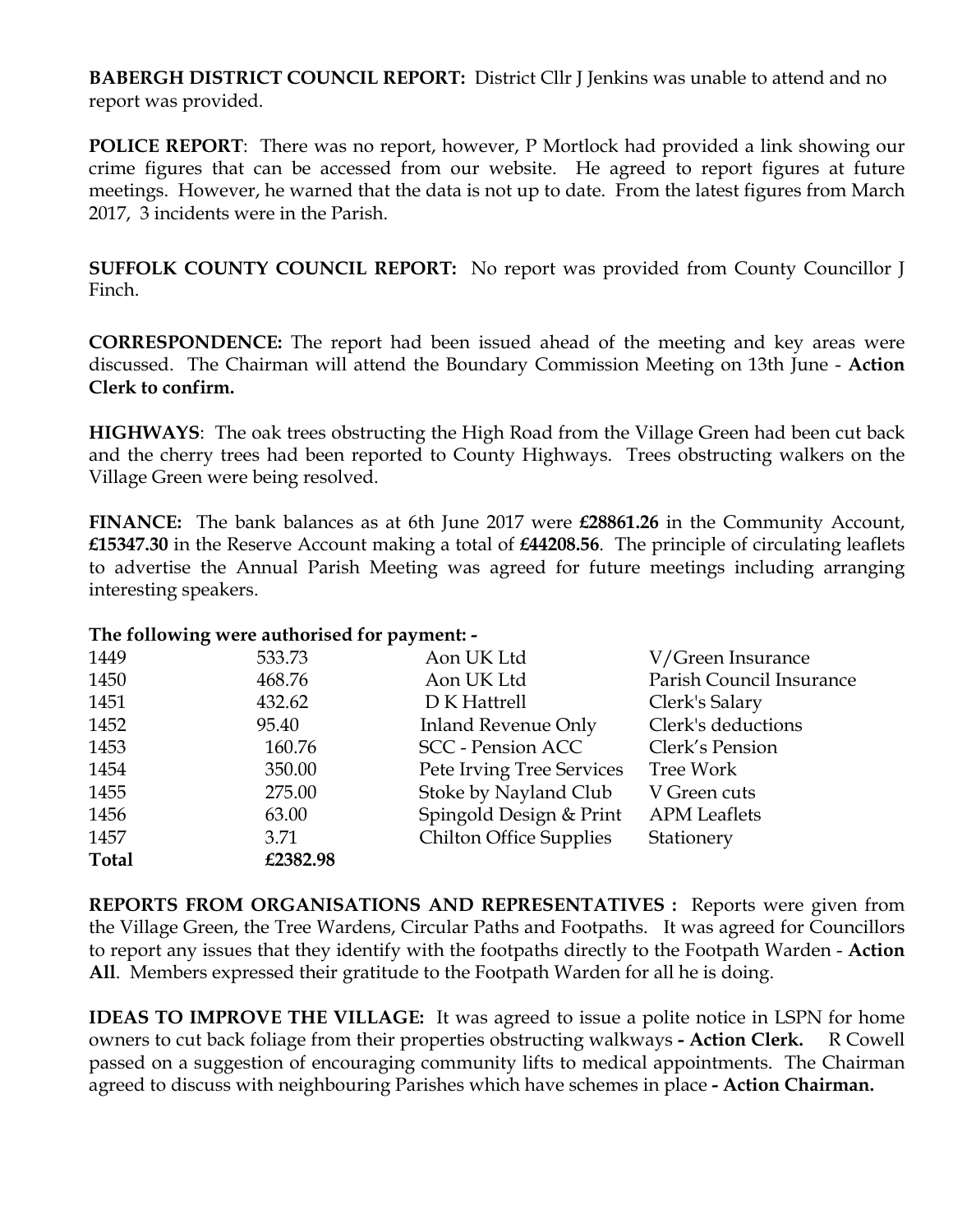**BABERGH DISTRICT COUNCIL REPORT:** District Cllr J Jenkins was unable to attend and no report was provided.

**POLICE REPORT:** There was no report, however, P Mortlock had provided a link showing our crime figures that can be accessed from our website. He agreed to report figures at future meetings. However, he warned that the data is not up to date. From the latest figures from March 2017, 3 incidents were in the Parish.

**SUFFOLK COUNTY COUNCIL REPORT:** No report was provided from County Councillor J Finch.

**CORRESPONDENCE:** The report had been issued ahead of the meeting and key areas were discussed. The Chairman will attend the Boundary Commission Meeting on 13th June - **Action Clerk to confirm.** 

**HIGHWAYS**: The oak trees obstructing the High Road from the Village Green had been cut back and the cherry trees had been reported to County Highways. Trees obstructing walkers on the Village Green were being resolved.

**FINANCE:** The bank balances as at 6th June 2017 were **£28861.26** in the Community Account, **£15347.30** in the Reserve Account making a total of **£44208.56**. The principle of circulating leaflets to advertise the Annual Parish Meeting was agreed for future meetings including arranging interesting speakers.

## **The following were authorised for payment: -**

| 1449         | 533.73   | Aon UK Ltd                     | V/Green Insurance        |
|--------------|----------|--------------------------------|--------------------------|
| 1450         | 468.76   | Aon UK Ltd                     | Parish Council Insurance |
| 1451         | 432.62   | D K Hattrell                   | Clerk's Salary           |
| 1452         | 95.40    | Inland Revenue Only            | Clerk's deductions       |
| 1453         | 160.76   | <b>SCC</b> - Pension ACC       | Clerk's Pension          |
| 1454         | 350.00   | Pete Irving Tree Services      | Tree Work                |
| 1455         | 275.00   | Stoke by Nayland Club          | V Green cuts             |
| 1456         | 63.00    | Spingold Design & Print        | <b>APM</b> Leaflets      |
| 1457         | 3.71     | <b>Chilton Office Supplies</b> | Stationery               |
| <b>Total</b> | £2382.98 |                                |                          |

**REPORTS FROM ORGANISATIONS AND REPRESENTATIVES :** Reports were given from the Village Green, the Tree Wardens, Circular Paths and Footpaths. It was agreed for Councillors to report any issues that they identify with the footpaths directly to the Footpath Warden - **Action All**. Members expressed their gratitude to the Footpath Warden for all he is doing.

**IDEAS TO IMPROVE THE VILLAGE:** It was agreed to issue a polite notice in LSPN for home owners to cut back foliage from their properties obstructing walkways **- Action Clerk.** R Cowell passed on a suggestion of encouraging community lifts to medical appointments. The Chairman agreed to discuss with neighbouring Parishes which have schemes in place **- Action Chairman.**